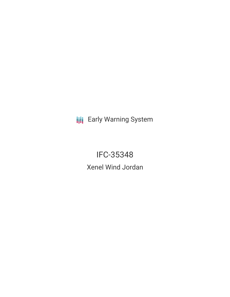**III** Early Warning System

IFC-35348 Xenel Wind Jordan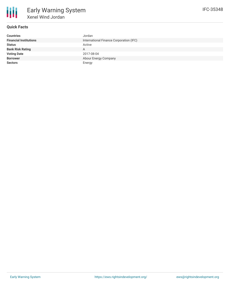

# **Quick Facts**

| <b>Countries</b>              | Jordan                                  |
|-------------------------------|-----------------------------------------|
| <b>Financial Institutions</b> | International Finance Corporation (IFC) |
| <b>Status</b>                 | Active                                  |
| <b>Bank Risk Rating</b>       | A                                       |
| <b>Voting Date</b>            | 2017-08-04                              |
| <b>Borrower</b>               | Abour Energy Company                    |
| <b>Sectors</b>                | Energy                                  |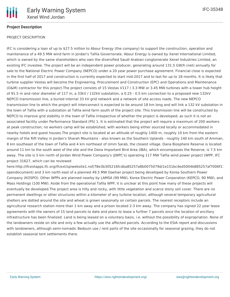

### **Project Description**

#### PROJECT DESCRIPTION

IFC is considering a loan of up to \$27.5 million to Abour Energy (the company) to support the construction, operation and maintenance of a 49.5 MW wind farm in Jordan's Tafila Governorate. Abour Energy is owned by Xenel International Limited, which is owned by the same shareholders who own the diversified Saudi Arabian conglomerate Xenel Industries Limited, an existing IFC investee. The project will be an independent power producer, generating around 131.5 GW/h (net) annually for sale to the National Electric Power Company (NEPCO) under a 20 year power purchase agreement. Financial close is expected in the first half of 2017 and construction is currently expected to start mid-2017 and to last for up to 18 months. It is likely that turbine supplier Vestas will become the Engineering, Procurement and Construction (EPC) and Operations and Maintenance (O&M) contractor for this project.The project consists of 15 Vestas V117 / 3.3 MW or 3.45 MW turbines with a tower hub height of 91.5 m and rotor diameter of 117 m, a 33kV / 132kV substation, a 0.25 - 0.5 km connection to a proposed new 132kV NEPCO transmission line, a buried internal 33 kV grid network and a network of site access roads. The new NEPCO transmission line to which the project will interconnect is expected to be around 18 km long and will link a 132 kV substation in the town of Tafila with a substation at Tafila wind farm south of the project site. This transmission line will be constructed by NEPCO to improve grid stability in the town of Tafila irrespective of whether the project is developed; as such it is not an associated facility under Performance Standard (PS) 1. It is estimated that the project will require a maximum of 200 workers at peak construction; no workers camp will be established, with workers being either sourced locally or accommodated in nearby hotels and guest houses.The project site is located at an altitude of roughly 1400 m, roughly 10 km from the eastern margin of the Rift Valley in Jordan's Sharah Mountains - also known as the Southern Uplands - roughly 140 km south of Amman, 8 km southeast of the town of Tafila and 4 km northeast of Umm Sarab, the closest village. Dana Biosphere Reserve is located around 11 km to the south west of the site and the Dana Important Bird Area (IBA), which encompasses the Reserve, is 7.5 km away. The site is 5 km north of Jordan Wind Power Company's (JWPC's) operating 117 MW Tafila wind power project (WPP, IFC project 31627, which can be reviewed

here:http://ifcextapps.ifc.org/ifcext/spiwebsite1.nsf/78e3b305216fcdba85257a8b0075079d/1e151bc4ed5004b885257af7006f1 opendocument) and 3 km north east of a planned 49.5 MW Daehan project being developed by Korea Southern Power Company (KOSPO). Other WPPs are planned nearby by LAMSA (99 MW), Korea Electric Power Corporation (KEPCO, 90 MW), and Mass Holdings (100 MW). Aside from the operational Tafila WPP, it is unclear at this point how many of these projects will eventually be developed.The project area is hilly and rocky, with little vegetation and scarce stony soil cover. There are no permanent dwellings or other structures within a kilometer of any turbine location, although several temporary agricultural shelters are dotted around the site and wheat is grown seasonally on certain parcels. The nearest receptors include an agricultural research station more than 1 km away and a prison located 2-3 km away. The company has signed 22 year lease agreements with the owners of 15 land parcels to date and plans to lease a further 7 parcels once the location of ancillary infrastructure has been finalized. Land is being leased on a voluntary basis, i.e. without the possibility of expropriation. None of the landowners reside on site and only a few actually use the affected parcels. According to the ESIA report and discussions with landowners, although semi-nomadic Bedouin use / rent parts of the site occasionally for seasonal grazing, they do not establish seasonal tent settlements there.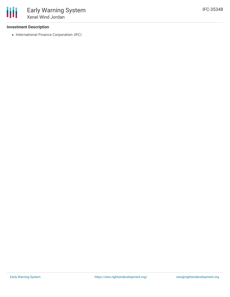#### **Investment Description**

• International Finance Corporation (IFC)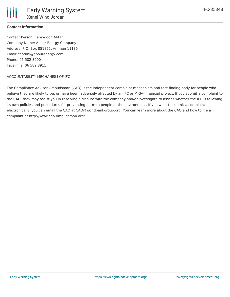### **Contact Information**

Contact Person: Fereydoon Abtahi Company Name: Abour Energy Company Address: P.O. Box 851875, Amman 11185 Email: fabtahi@abourenergy.com Phone: 06 582 8900 Facsimile: 06 582 8911

#### ACCOUNTABILITY MECHANISM OF IFC

The Compliance Advisor Ombudsman (CAO) is the independent complaint mechanism and fact-finding body for people who believe they are likely to be, or have been, adversely affected by an IFC or MIGA- financed project. If you submit a complaint to the CAO, they may assist you in resolving a dispute with the company and/or investigate to assess whether the IFC is following its own policies and procedures for preventing harm to people or the environment. If you want to submit a complaint electronically, you can email the CAO at CAO@worldbankgroup.org. You can learn more about the CAO and how to file a complaint at http://www.cao-ombudsman.org/